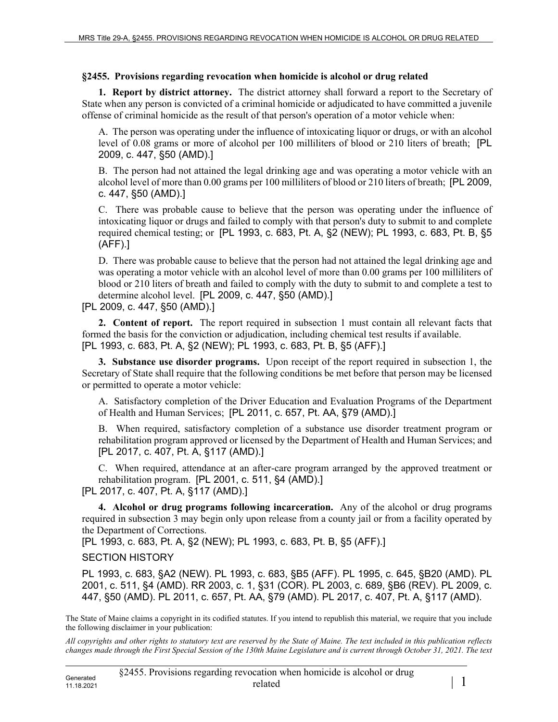## **§2455. Provisions regarding revocation when homicide is alcohol or drug related**

**1. Report by district attorney.** The district attorney shall forward a report to the Secretary of State when any person is convicted of a criminal homicide or adjudicated to have committed a juvenile offense of criminal homicide as the result of that person's operation of a motor vehicle when:

A. The person was operating under the influence of intoxicating liquor or drugs, or with an alcohol level of 0.08 grams or more of alcohol per 100 milliliters of blood or 210 liters of breath; [PL 2009, c. 447, §50 (AMD).]

B. The person had not attained the legal drinking age and was operating a motor vehicle with an alcohol level of more than 0.00 grams per 100 milliliters of blood or 210 liters of breath; [PL 2009, c. 447, §50 (AMD).]

C. There was probable cause to believe that the person was operating under the influence of intoxicating liquor or drugs and failed to comply with that person's duty to submit to and complete required chemical testing; or [PL 1993, c. 683, Pt. A, §2 (NEW); PL 1993, c. 683, Pt. B, §5 (AFF).]

D. There was probable cause to believe that the person had not attained the legal drinking age and was operating a motor vehicle with an alcohol level of more than 0.00 grams per 100 milliliters of blood or 210 liters of breath and failed to comply with the duty to submit to and complete a test to determine alcohol level. [PL 2009, c. 447, §50 (AMD).]

[PL 2009, c. 447, §50 (AMD).]

**2. Content of report.** The report required in subsection 1 must contain all relevant facts that formed the basis for the conviction or adjudication, including chemical test results if available. [PL 1993, c. 683, Pt. A, §2 (NEW); PL 1993, c. 683, Pt. B, §5 (AFF).]

**3. Substance use disorder programs.** Upon receipt of the report required in subsection 1, the Secretary of State shall require that the following conditions be met before that person may be licensed or permitted to operate a motor vehicle:

A. Satisfactory completion of the Driver Education and Evaluation Programs of the Department of Health and Human Services; [PL 2011, c. 657, Pt. AA, §79 (AMD).]

B. When required, satisfactory completion of a substance use disorder treatment program or rehabilitation program approved or licensed by the Department of Health and Human Services; and [PL 2017, c. 407, Pt. A, §117 (AMD).]

C. When required, attendance at an after-care program arranged by the approved treatment or rehabilitation program. [PL 2001, c. 511, §4 (AMD).]

[PL 2017, c. 407, Pt. A, §117 (AMD).]

**4. Alcohol or drug programs following incarceration.** Any of the alcohol or drug programs required in subsection 3 may begin only upon release from a county jail or from a facility operated by the Department of Corrections.

[PL 1993, c. 683, Pt. A, §2 (NEW); PL 1993, c. 683, Pt. B, §5 (AFF).]

## SECTION HISTORY

PL 1993, c. 683, §A2 (NEW). PL 1993, c. 683, §B5 (AFF). PL 1995, c. 645, §B20 (AMD). PL 2001, c. 511, §4 (AMD). RR 2003, c. 1, §31 (COR). PL 2003, c. 689, §B6 (REV). PL 2009, c. 447, §50 (AMD). PL 2011, c. 657, Pt. AA, §79 (AMD). PL 2017, c. 407, Pt. A, §117 (AMD).

The State of Maine claims a copyright in its codified statutes. If you intend to republish this material, we require that you include the following disclaimer in your publication:

*All copyrights and other rights to statutory text are reserved by the State of Maine. The text included in this publication reflects changes made through the First Special Session of the 130th Maine Legislature and is current through October 31, 2021. The text*